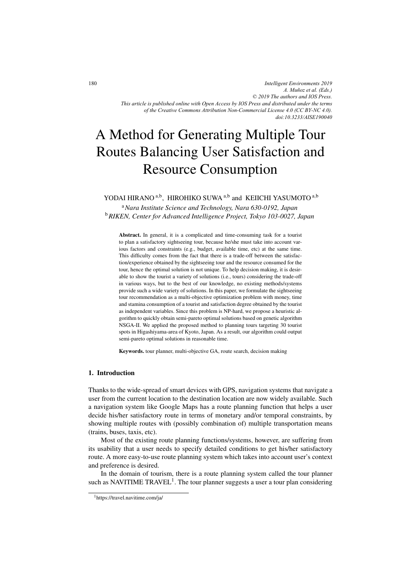*Intelligent Environments 2019 A. Muñoz et al. (Eds.) © 2019 The authors and IOS Press. This article is published online with Open Access by IOS Press and distributed under the terms of the Creative Commons Attribution Non-Commercial License 4.0 (CC BY-NC 4.0). doi:10.3233/AISE190040*

# A Method for Generating Multiple Tour Routes Balancing User Satisfaction and Resource Consumption

# YODAI HIRANO<sup>a,b</sup>, HIROHIKO SUWA <sup>a,b</sup> and KEIICHI YASUMOTO<sup>a,b</sup>

<sup>a</sup>*Nara Institute Science and Technology, Nara 630-0192, Japan* <sup>b</sup>*RIKEN, Center for Advanced Intelligence Project, Tokyo 103-0027, Japan*

Abstract. In general, it is a complicated and time-consuming task for a tourist to plan a satisfactory sightseeing tour, because he/she must take into account various factors and constraints (e.g., budget, available time, etc) at the same time. This difficulty comes from the fact that there is a trade-off between the satisfaction/experience obtained by the sightseeing tour and the resource consumed for the tour, hence the optimal solution is not unique. To help decision making, it is desirable to show the tourist a variety of solutions (i.e., tours) considering the trade-off in various ways, but to the best of our knowledge, no existing methods/systems provide such a wide variety of solutions. In this paper, we formulate the sightseeing tour recommendation as a multi-objective optimization problem with money, time and stamina consumption of a tourist and satisfaction degree obtained by the tourist as independent variables. Since this problem is NP-hard, we propose a heuristic algorithm to quickly obtain semi-pareto optimal solutions based on genetic algorithm NSGA-II. We applied the proposed method to planning tours targeting 30 tourist spots in Higashiyama-area of Kyoto, Japan. As a result, our algorithm could output semi-pareto optimal solutions in reasonable time.

Keywords. tour planner, multi-objective GA, route search, decision making

# 1. Introduction

Thanks to the wide-spread of smart devices with GPS, navigation systems that navigate a user from the current location to the destination location are now widely available. Such a navigation system like Google Maps has a route planning function that helps a user decide his/her satisfactory route in terms of monetary and/or temporal constraints, by showing multiple routes with (possibly combination of) multiple transportation means (trains, buses, taxis, etc).

Most of the existing route planning functions/systems, however, are suffering from its usability that a user needs to specify detailed conditions to get his/her satisfactory route. A more easy-to-use route planning system which takes into account user's context and preference is desired.

In the domain of tourism, there is a route planning system called the tour planner such as NAVITIME TRAVEL<sup>1</sup>. The tour planner suggests a user a tour plan considering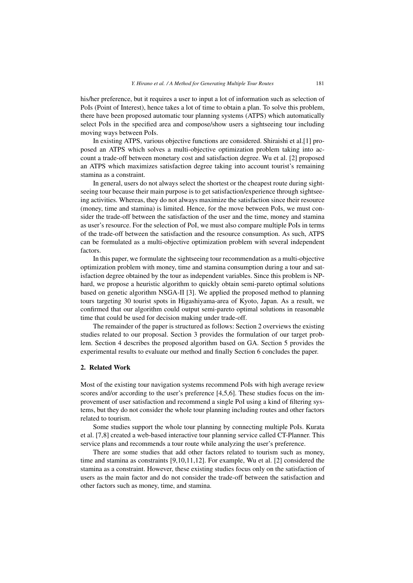his/her preference, but it requires a user to input a lot of information such as selection of PoIs (Point of Interest), hence takes a lot of time to obtain a plan. To solve this problem, there have been proposed automatic tour planning systems (ATPS) which automatically select PoIs in the specified area and compose/show users a sightseeing tour including moving ways between PoIs.

In existing ATPS, various objective functions are considered. Shiraishi et al.[1] proposed an ATPS which solves a multi-objective optimization problem taking into account a trade-off between monetary cost and satisfaction degree. Wu et al. [2] proposed an ATPS which maximizes satisfaction degree taking into account tourist's remaining stamina as a constraint.

In general, users do not always select the shortest or the cheapest route during sightseeing tour because their main purpose is to get satisfaction/experience through sightseeing activities. Whereas, they do not always maximize the satisfaction since their resource (money, time and stamina) is limited. Hence, for the move between PoIs, we must consider the trade-off between the satisfaction of the user and the time, money and stamina as user's resource. For the selection of PoI, we must also compare multiple PoIs in terms of the trade-off between the satisfaction and the resource consumption. As such, ATPS can be formulated as a multi-objective optimization problem with several independent factors.

In this paper, we formulate the sightseeing tour recommendation as a multi-objective optimization problem with money, time and stamina consumption during a tour and satisfaction degree obtained by the tour as independent variables. Since this problem is NPhard, we propose a heuristic algorithm to quickly obtain semi-pareto optimal solutions based on genetic algorithm NSGA-II [3]. We applied the proposed method to planning tours targeting 30 tourist spots in Higashiyama-area of Kyoto, Japan. As a result, we confirmed that our algorithm could output semi-pareto optimal solutions in reasonable time that could be used for decision making under trade-off.

The remainder of the paper is structured as follows: Section 2 overviews the existing studies related to our proposal. Section 3 provides the formulation of our target problem. Section 4 describes the proposed algorithm based on GA. Section 5 provides the experimental results to evaluate our method and finally Section 6 concludes the paper.

## 2. Related Work

Most of the existing tour navigation systems recommend PoIs with high average review scores and/or according to the user's preference [4,5,6]. These studies focus on the improvement of user satisfaction and recommend a single PoI using a kind of filtering systems, but they do not consider the whole tour planning including routes and other factors related to tourism.

Some studies support the whole tour planning by connecting multiple PoIs. Kurata et al. [7,8] created a web-based interactive tour planning service called CT-Planner. This service plans and recommends a tour route while analyzing the user's preference.

There are some studies that add other factors related to tourism such as money, time and stamina as constraints [9,10,11,12]. For example, Wu et al. [2] considered the stamina as a constraint. However, these existing studies focus only on the satisfaction of users as the main factor and do not consider the trade-off between the satisfaction and other factors such as money, time, and stamina.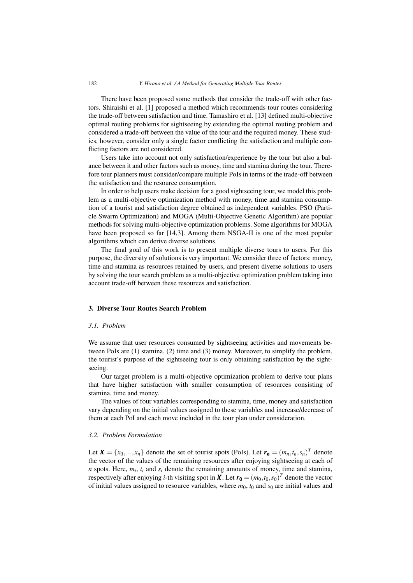There have been proposed some methods that consider the trade-off with other factors. Shiraishi et al. [1] proposed a method which recommends tour routes considering the trade-off between satisfaction and time. Tamashiro et al. [13] defined multi-objective optimal routing problems for sightseeing by extending the optimal routing problem and considered a trade-off between the value of the tour and the required money. These studies, however, consider only a single factor conflicting the satisfaction and multiple conflicting factors are not considered.

Users take into account not only satisfaction/experience by the tour but also a balance between it and other factors such as money, time and stamina during the tour. Therefore tour planners must consider/compare multiple PoIs in terms of the trade-off between the satisfaction and the resource consumption.

In order to help users make decision for a good sightseeing tour, we model this problem as a multi-objective optimization method with money, time and stamina consumption of a tourist and satisfaction degree obtained as independent variables. PSO (Particle Swarm Optimization) and MOGA (Multi-Objective Genetic Algorithm) are popular methods for solving multi-objective optimization problems. Some algorithms for MOGA have been proposed so far [14,3]. Among them NSGA-II is one of the most popular algorithms which can derive diverse solutions.

The final goal of this work is to present multiple diverse tours to users. For this purpose, the diversity of solutions is very important. We consider three of factors: money, time and stamina as resources retained by users, and present diverse solutions to users by solving the tour search problem as a multi-objective optimization problem taking into account trade-off between these resources and satisfaction.

## 3. Diverse Tour Routes Search Problem

## *3.1. Problem*

We assume that user resources consumed by sightseeing activities and movements between PoIs are (1) stamina, (2) time and (3) money. Moreover, to simplify the problem, the tourist's purpose of the sightseeing tour is only obtaining satisfaction by the sightseeing.

Our target problem is a multi-objective optimization problem to derive tour plans that have higher satisfaction with smaller consumption of resources consisting of stamina, time and money.

The values of four variables corresponding to stamina, time, money and satisfaction vary depending on the initial values assigned to these variables and increase/decrease of them at each PoI and each move included in the tour plan under consideration.

## *3.2. Problem Formulation*

Let  $\mathbf{X} = \{x_0, ..., x_n\}$  denote the set of tourist spots (PoIs). Let  $\mathbf{r}_n = (m_n, t_n, s_n)^T$  denote the vector of the values of the remaining resources after enjoying sightseeing at each of  $n$  spots. Here,  $m_i$ ,  $t_i$  and  $s_i$  denote the remaining amounts of money, time and stamina, respectively after enjoying *i*-th visiting spot in **X**. Let  $r_0 = (m_0, t_0, s_0)^T$  denote the vector of initial values assigned to resource variables, where  $m_0$ ,  $t_0$  and  $s_0$  are initial values and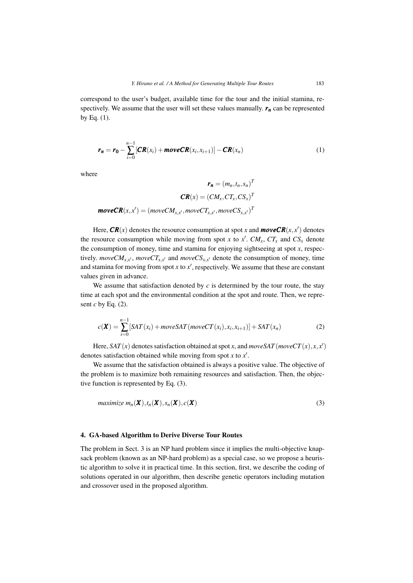correspond to the user's budget, available time for the tour and the initial stamina, respectively. We assume that the user will set these values manually.  $r_n$  can be represented by Eq.  $(1)$ .

$$
r_n = r_0 - \sum_{i=0}^{n-1} [CR(x_i) + moveCR(x_i, x_{i+1})] - CR(x_n)
$$
 (1)

where

$$
r_n = (m_n, t_n, s_n)^T
$$

$$
CR(x) = (CM_x, CT_x, CS_x)^T
$$

$$
moveCR(x, x') = (moveCM_{x, x'}, moveCT_{x, x'}, moveCS_{x, x'})^T
$$

Here,  $\textit{CR}(x)$  denotes the resource consumption at spot *x* and  $\textit{moveCR}(x,x')$  denotes the resource consumption while moving from spot *x* to  $x'$ .  $CM_x$ ,  $CT_x$  and  $CS_x$  denote the consumption of money, time and stamina for enjoying sightseeing at spot *x*, respectively. *moveCM<sub>x,x'</sub>*, *moveCT<sub>x,x'</sub>* and *moveCS<sub>x,x'</sub>* denote the consumption of money, time and stamina for moving from spot  $x$  to  $x'$ , respectively. We assume that these are constant values given in advance.

We assume that satisfaction denoted by  $c$  is determined by the tour route, the stay time at each spot and the environmental condition at the spot and route. Then, we represent *c* by Eq. (2).

$$
c(\mathbf{X}) = \sum_{i=0}^{n-1} \left[ SAT(x_i) + moveSAT(moveCT(x_i), x_i, x_{i+1}) \right] + SAT(x_n)
$$
 (2)

Here,  $SAT(x)$  denotes satisfaction obtained at spot *x*, and  $moveSAT(moveCT(x), x, x')$ denotes satisfaction obtained while moving from spot *x* to *x*- .

We assume that the satisfaction obtained is always a positive value. The objective of the problem is to maximize both remaining resources and satisfaction. Then, the objective function is represented by Eq. (3).

$$
maximize \, m_n(\boldsymbol{X}), t_n(\boldsymbol{X}), s_n(\boldsymbol{X}), c(\boldsymbol{X}) \tag{3}
$$

### 4. GA-based Algorithm to Derive Diverse Tour Routes

The problem in Sect. 3 is an NP hard problem since it implies the multi-objective knapsack problem (known as an NP-hard problem) as a special case, so we propose a heuristic algorithm to solve it in practical time. In this section, first, we describe the coding of solutions operated in our algorithm, then describe genetic operators including mutation and crossover used in the proposed algorithm.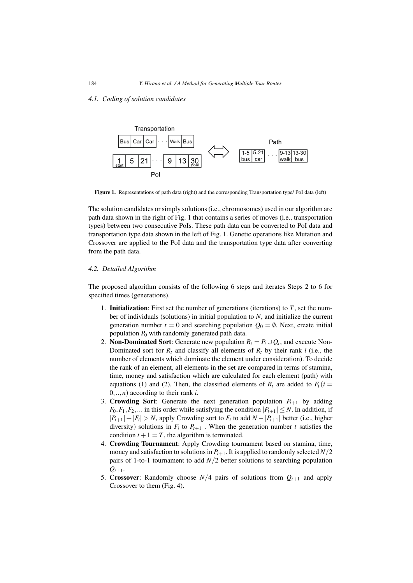*4.1. Coding of solution candidates*



Figure 1. Representations of path data (right) and the corresponding Transportation type/ PoI data (left)

The solution candidates or simply solutions (i.e., chromosomes) used in our algorithm are path data shown in the right of Fig. 1 that contains a series of moves (i.e., transportation types) between two consecutive PoIs. These path data can be converted to PoI data and transportation type data shown in the left of Fig. 1. Genetic operations like Mutation and Crossover are applied to the PoI data and the transportation type data after converting from the path data.

## *4.2. Detailed Algorithm*

The proposed algorithm consists of the following 6 steps and iterates Steps 2 to 6 for specified times (generations).

- 1. Initialization: First set the number of generations (iterations) to *T*, set the number of individuals (solutions) in initial population to *N*, and initialize the current generation number  $t = 0$  and searching population  $Q_0 = \emptyset$ . Next, create initial population *P*<sup>0</sup> with randomly generated path data.
- 2. **Non-Dominated Sort**: Generate new population  $R_t = P_t \cup Q_t$ , and execute Non-Dominated sort for  $R_t$  and classify all elements of  $R_t$  by their rank *i* (i.e., the number of elements which dominate the element under consideration). To decide the rank of an element, all elements in the set are compared in terms of stamina, time, money and satisfaction which are calculated for each element (path) with equations (1) and (2). Then, the classified elements of  $R_t$  are added to  $F_i(i =$ 0,..,*n*) according to their rank *i*.
- 3. Crowding Sort: Generate the next generation population  $P_{t+1}$  by adding  $F_0, F_1, F_2, \ldots$  in this order while satisfying the condition  $|P_{t+1}| \leq N$ . In addition, if  $|P_{t+1}|+|F_i| > N$ , apply Crowding sort to  $F_i$  to add  $N - |P_{t+1}|$  better (i.e., higher diversity) solutions in  $F_i$  to  $P_{t+1}$ . When the generation number t satisfies the condition  $t + 1 = T$ , the algorithm is terminated.
- 4. Crowding Tournament: Apply Crowding tournament based on stamina, time, money and satisfaction to solutions in  $P_{t+1}$ . It is applied to randomly selected  $N/2$ pairs of 1-to-1 tournament to add *N*/2 better solutions to searching population  $Q_{t+1}$ .
- 5. Crossover: Randomly choose  $N/4$  pairs of solutions from  $Q_{t+1}$  and apply Crossover to them (Fig. 4).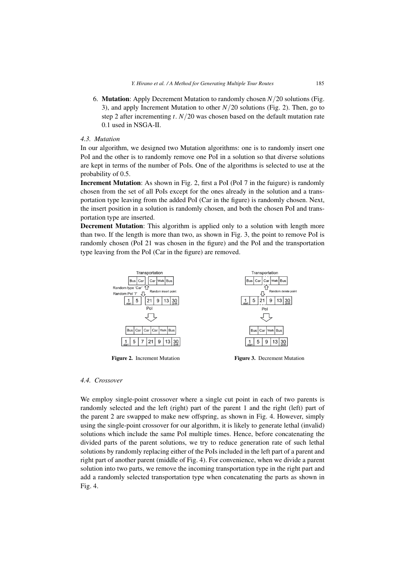6. Mutation: Apply Decrement Mutation to randomly chosen *N*/20 solutions (Fig. 3), and apply Increment Mutation to other *N*/20 solutions (Fig. 2). Then, go to step 2 after incrementing *t*. *N*/20 was chosen based on the default mutation rate 0.1 used in NSGA-II.

# *4.3. Mutation*

In our algorithm, we designed two Mutation algorithms: one is to randomly insert one PoI and the other is to randomly remove one PoI in a solution so that diverse solutions are kept in terms of the number of PoIs. One of the algorithms is selected to use at the probability of 0.5.

Increment Mutation: As shown in Fig. 2, first a PoI (PoI 7 in the fuigure) is randomly chosen from the set of all PoIs except for the ones already in the solution and a transportation type leaving from the added PoI (Car in the figure) is randomly chosen. Next, the insert position in a solution is randomly chosen, and both the chosen PoI and transportation type are inserted.

**Decrement Mutation:** This algorithm is applied only to a solution with length more than two. If the length is more than two, as shown in Fig. 3, the point to remove PoI is randomly chosen (PoI 21 was chosen in the figure) and the PoI and the transportation type leaving from the PoI (Car in the figure) are removed.



Figure 2. Increment Mutation Figure 3. Decrement Mutation

# *4.4. Crossover*

We employ single-point crossover where a single cut point in each of two parents is randomly selected and the left (right) part of the parent 1 and the right (left) part of the parent 2 are swapped to make new offspring, as shown in Fig. 4. However, simply using the single-point crossover for our algorithm, it is likely to generate lethal (invalid) solutions which include the same PoI multiple times. Hence, before concatenating the divided parts of the parent solutions, we try to reduce generation rate of such lethal solutions by randomly replacing either of the PoIs included in the left part of a parent and right part of another parent (middle of Fig. 4). For convenience, when we divide a parent solution into two parts, we remove the incoming transportation type in the right part and add a randomly selected transportation type when concatenating the parts as shown in Fig. 4.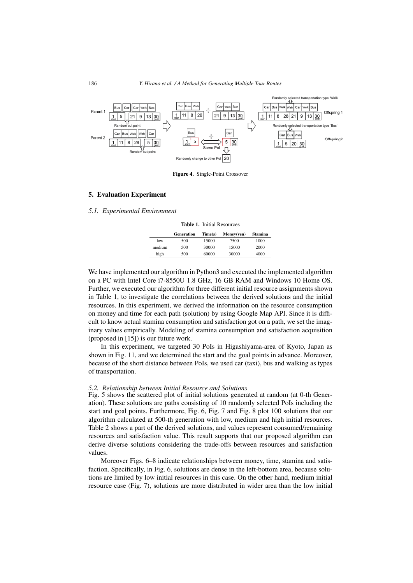

Figure 4. Single-Point Crossover

## 5. Evaluation Experiment

## *5.1. Experimental Environment*

Table 1. Initial Resources

|        | Generation | Time(s) | Money(yen) | Stamina |
|--------|------------|---------|------------|---------|
| low    | 500        | 15000   | 7500       | 1000    |
| medium | 500        | 30000   | 15000      | 2000    |
| high   | 500        | 60000   | 30000      | 4000    |

We have implemented our algorithm in Python3 and executed the implemented algorithm on a PC with Intel Core i7-8550U 1.8 GHz, 16 GB RAM and Windows 10 Home OS. Further, we executed our algorithm for three different initial resource assignments shown in Table 1, to investigate the correlations between the derived solutions and the initial resources. In this experiment, we derived the information on the resource consumption on money and time for each path (solution) by using Google Map API. Since it is difficult to know actual stamina consumption and satisfaction got on a path, we set the imaginary values empirically. Modeling of stamina consumption and satisfaction acquisition (proposed in [15]) is our future work.

In this experiment, we targeted 30 PoIs in Higashiyama-area of Kyoto, Japan as shown in Fig. 11, and we determined the start and the goal points in advance. Moreover, because of the short distance between PoIs, we used car (taxi), bus and walking as types of transportation.

#### *5.2. Relationship between Initial Resource and Solutions*

Fig. 5 shows the scattered plot of initial solutions generated at random (at 0-th Generation). These solutions are paths consisting of 10 randomly selected PoIs including the start and goal points. Furthermore, Fig. 6, Fig. 7 and Fig. 8 plot 100 solutions that our algorithm calculated at 500-th generation with low, medium and high initial resources. Table 2 shows a part of the derived solutions, and values represent consumed/remaining resources and satisfaction value. This result supports that our proposed algorithm can derive diverse solutions considering the trade-offs between resources and satisfaction values.

Moreover Figs. 6–8 indicate relationships between money, time, stamina and satisfaction. Specifically, in Fig. 6, solutions are dense in the left-bottom area, because solutions are limited by low initial resources in this case. On the other hand, medium initial resource case (Fig. 7), solutions are more distributed in wider area than the low initial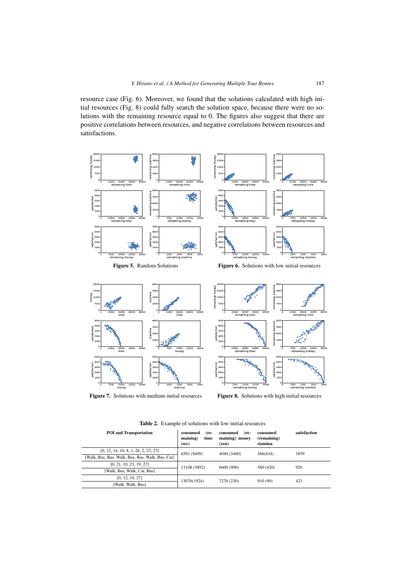resource case (Fig. 6). Moreover, we found that the solutions calculated with high initial resources (Fig. 8) could fully search the solution space, because there were no solutions with the remaining resource equal to 0. The figures also suggest that there are positive correlations between resources, and negative correlations between resources and satisfactions.



Figure 7. Solutions with medium initial resources Figure 8. Solutions with high initial resources

| <b>POI</b> and Transportation                    | (re-<br>consumed<br>maining)<br>time<br>(sec) | consumed<br>(re-<br>maining) money<br>(ven) | consumed<br>(remaining)<br>stamina | satisfaction |
|--------------------------------------------------|-----------------------------------------------|---------------------------------------------|------------------------------------|--------------|
| [0, 12, 14, 10, 8, 1, 26, 2, 23, 27]             | 6591 (8409)                                   | 4040 (3460)                                 | 366(634)                           | 1859         |
| [Walk, Bus, Bus, Walk, Bus, Bus, Walk, Bus, Car] |                                               |                                             |                                    |              |
| [0, 21, 10, 23, 19, 27]                          | 11108 (3892)                                  | 6600 (900)                                  | 580 (420)                          | 926          |
| [Walk, Bus, Walk, Car, Bus]                      |                                               |                                             |                                    |              |
| [0, 12, 10, 27]                                  | 13076(1924)                                   | 7270 (230)                                  | 910 (90)                           | 423          |
| [Walk, Walk, Bus]                                |                                               |                                             |                                    |              |

Table 2. Example of solutions with low initial resources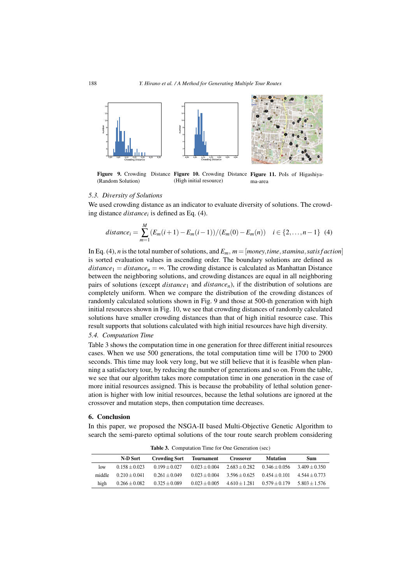

Figure 9. Crowding Distance Figure 10. Crowding Distance Figure 11. Pols of Higashiya-(Random Solution) (High initial resource) ma-area

### *5.3. Diversity of Solutions*

We used crowding distance as an indicator to evaluate diversity of solutions. The crowding distance *distancei* is defined as Eq. (4).

$$
distance_i = \sum_{m=1}^{M} (E_m(i+1) - E_m(i-1))/(E_m(0) - E_m(n)) \quad i \in \{2, ..., n-1\} \tag{4}
$$

In Eq. (4), *n* is the total number of solutions, and  $E_m$ ,  $m = [money, time, stamina, satis factorial]$ is sorted evaluation values in ascending order. The boundary solutions are defined as *distance*<sub>1</sub> = *distance*<sub>n</sub> =  $\infty$ . The crowding distance is calculated as Manhattan Distance between the neighboring solutions, and crowding distances are equal in all neighboring pairs of solutions (except *distance*<sup>1</sup> and *distancen*), if the distribution of solutions are completely uniform. When we compare the distribution of the crowding distances of randomly calculated solutions shown in Fig. 9 and those at 500-th generation with high initial resources shown in Fig. 10, we see that crowding distances of randomly calculated solutions have smaller crowding distances than that of high initial resource case. This result supports that solutions calculated with high initial resources have high diversity.

## *5.4. Computation Time*

Table 3 shows the computation time in one generation for three different initial resources cases. When we use 500 generations, the total computation time will be 1700 to 2900 seconds. This time may look very long, but we still believe that it is feasible when planning a satisfactory tour, by reducing the number of generations and so on. From the table, we see that our algorithm takes more computation time in one generation in the case of more initial resources assigned. This is because the probability of lethal solution generation is higher with low initial resources, because the lethal solutions are ignored at the crossover and mutation steps, then computation time decreases.

## 6. Conclusion

In this paper, we proposed the NSGA-II based Multi-Objective Genetic Algorithm to search the semi-pareto optimal solutions of the tour route search problem considering

|        | N-D Sort          | <b>Crowding Sort</b> | Tournament        | <b>Crossover</b> | <b>Mutation</b> | Sum             |
|--------|-------------------|----------------------|-------------------|------------------|-----------------|-----------------|
| low    | $0.158 + 0.023$   | $0.199 + 0.027$      | $0.023 + 0.004$   | $2.683 + 0.282$  | $0.346 + 0.056$ | $3.409 + 0.350$ |
| middle | $0.210 + 0.041$   | $0.261 + 0.049$      | $0.023 + 0.004$   | $3.596 + 0.625$  | $0.454 + 0.101$ | $4.544 + 0.773$ |
| high   | $0.266 \pm 0.082$ | $0.325 \pm 0.089$    | $0.023 \pm 0.005$ | $4.610 + 1.281$  | $0.579 + 0.179$ | $5.803 + 1.576$ |

Table 3. Computation Time for One Generation (sec)